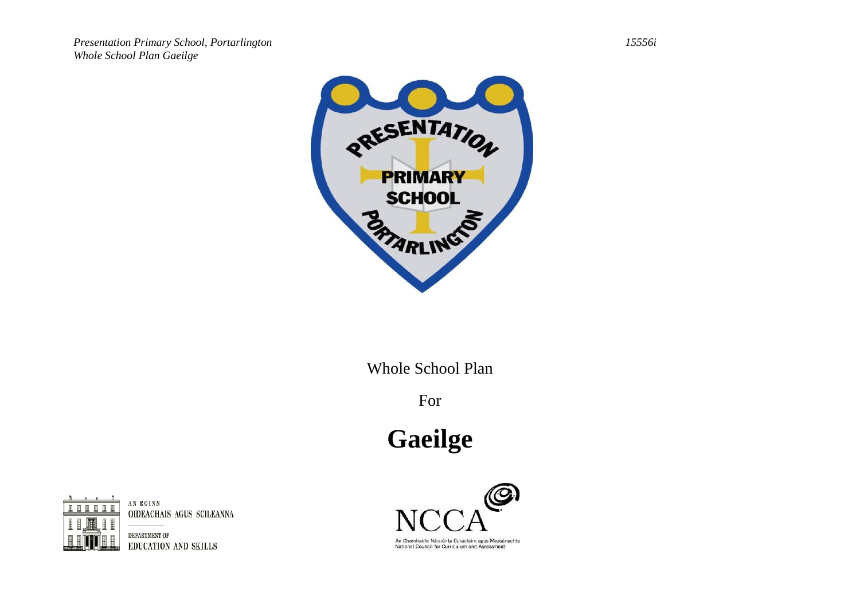

Whole School Plan

For

**Gaeilge** 



AN ROINN OIDEACHAIS AGUS SCILEANNA

DEPARTMENT OF EDUCATION AND SKILLS



An Chomhairle Náisiúnta Curaclaim agus Measúnachta National Council for Curriculum and Assessment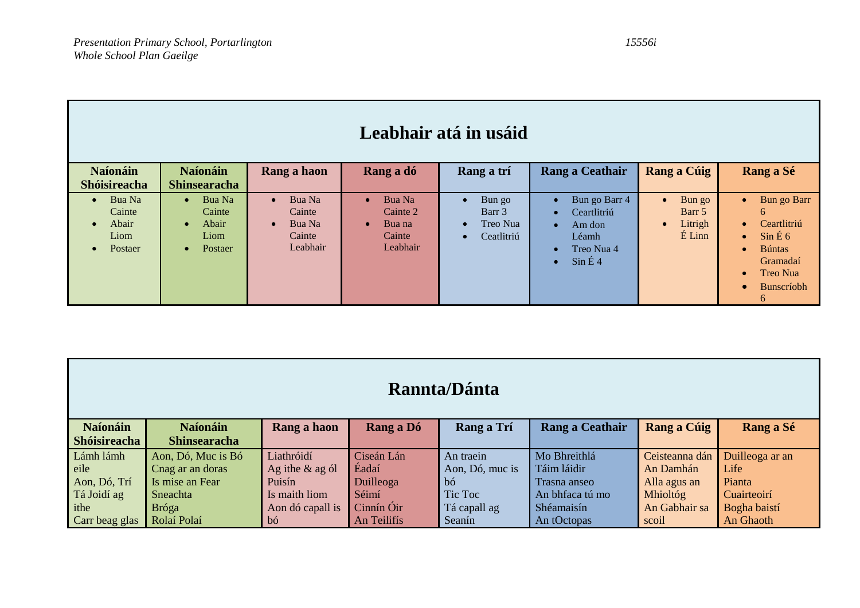| Leabhair atá in usáid                                                               |                                                                                     |                                                                            |                                                                 |                                                                                   |                                                                                                                                                   |                                                                   |                                                                                                                                                                                                      |
|-------------------------------------------------------------------------------------|-------------------------------------------------------------------------------------|----------------------------------------------------------------------------|-----------------------------------------------------------------|-----------------------------------------------------------------------------------|---------------------------------------------------------------------------------------------------------------------------------------------------|-------------------------------------------------------------------|------------------------------------------------------------------------------------------------------------------------------------------------------------------------------------------------------|
| <b>Naíonáin</b><br><b>Shóisireacha</b>                                              | <b>Naíonáin</b><br><b>Shinsearacha</b>                                              | Rang a haon                                                                | Rang a dó                                                       | Rang a trí                                                                        | Rang a Ceathair                                                                                                                                   | Rang a Cúig                                                       | Rang a Sé                                                                                                                                                                                            |
| Bua Na<br>$\bullet$<br>Cainte<br>Abair<br>$\bullet$<br>Liom<br>Postaer<br>$\bullet$ | Bua Na<br>$\bullet$<br>Cainte<br>Abair<br>$\bullet$<br>Liom<br>Postaer<br>$\bullet$ | Bua Na<br>$\bullet$<br>Cainte<br>Bua Na<br>$\bullet$<br>Cainte<br>Leabhair | Bua Na<br>Cainte 2<br>Bua na<br>$\bullet$<br>Cainte<br>Leabhair | Bun go<br>$\bullet$<br>Barr 3<br>Treo Nua<br>$\bullet$<br>Ceatlitriú<br>$\bullet$ | Bun go Barr 4<br>$\bullet$<br>Ceartlitriú<br>$\bullet$<br>Am don<br>$\bullet$<br>Léamh<br>Treo Nua 4<br>$\bullet$<br>$\sin \angle 4$<br>$\bullet$ | Bun go<br>$\bullet$<br>Barr 5<br>Litrigh<br>$\bullet$<br>$E$ Linn | Bun go Barr<br>$\bullet$<br>6<br>Ceartlitriú<br>$\bullet$<br>$\sin \hat{E}$ 6<br>$\bullet$<br><b>Búntas</b><br>$\bullet$<br>Gramadaí<br><b>Treo Nua</b><br>$\bullet$<br>Bunscríobh<br>$\bullet$<br>6 |

| Rannta/Dánta        |                     |                    |             |                 |                 |                 |                 |
|---------------------|---------------------|--------------------|-------------|-----------------|-----------------|-----------------|-----------------|
| <b>Naíonáin</b>     | <b>Naíonáin</b>     | Rang a haon        | Rang a Dó   | Rang a Trí      | Rang a Ceathair | Rang a Cúig     | Rang a Sé       |
| <b>Shóisireacha</b> | <b>Shinsearacha</b> |                    |             |                 |                 |                 |                 |
| Lámh lámh           | Aon, Dó, Muc is Bó  | Liathróidí         | Ciseán Lán  | An traein       | Mo Bhreithlá    | Ceisteanna dán  | Duilleoga ar an |
| eile                | Cnag ar an doras    | Ag ithe $\&$ ag ól | Éadaí       | Aon, Dó, muc is | Táim láidir     | An Damhán       | Life            |
| Aon, Dó, Trí        | Is mise an Fear     | Puisín             | Duilleoga   | bó.             | Trasna anseo    | Alla agus an    | Pianta          |
| Tá Joidí ag         | Sneachta            | Is maith liom      | Séimí       | Tic Toc         | An bhfaca tú mo | <b>Mhioltóg</b> | Cuairteoirí     |
| ithe                | <b>Bróga</b>        | Aon dó capall is   | Cinnín Óir  | Tá capall ag    | Shéamaisín      | An Gabhair sa   | Bogha baistí    |
| Carr beag glas      | Rolaí Polaí         | bó                 | An Teilifís | Seanín          | An tOctopas     | scoil           | An Ghaoth       |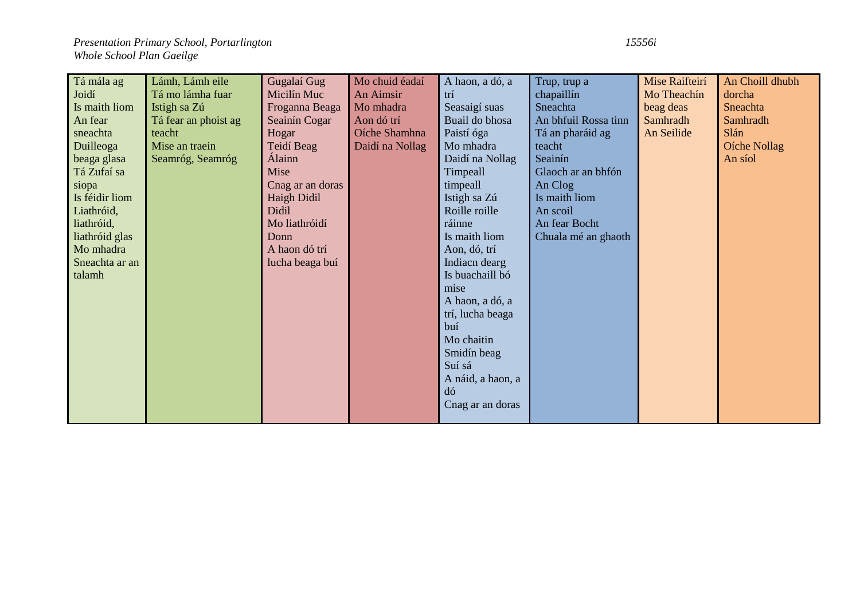| Tá mála ag     | Lámh, Lámh eile      | Gugalaí Gug      | Mo chuid éadaí  | A haon, a dó, a   | Trup, trup a         | Mise Raifteirí | An Choill dhubh |
|----------------|----------------------|------------------|-----------------|-------------------|----------------------|----------------|-----------------|
| Joidí          | Tá mo lámha fuar     | Micilín Muc      | An Aimsir       | trí               | chapaillín           | Mo Theachín    | dorcha          |
| Is maith liom  | Istigh sa Zú         | Froganna Beaga   | Mo mhadra       | Seasaigí suas     | Sneachta             | beag deas      | Sneachta        |
| An fear        | Tá fear an phoist ag | Seainín Cogar    | Aon dó trí      | Buail do bhosa    | An bhfuil Rossa tinn | Samhradh       | Samhradh        |
| sneachta       | teacht               | Hogar            | Oíche Shamhna   | Paistí óga        | Tá an pharáid ag     | An Seilide     | Slán            |
| Duilleoga      | Mise an traein       | Teidí Beag       | Daidí na Nollag | Mo mhadra         | teacht               |                | Oíche Nollag    |
| beaga glasa    | Seamróg, Seamróg     | Álainn           |                 | Daidí na Nollag   | Seainín              |                | An síol         |
| Tá Zufaí sa    |                      | Mise             |                 | Timpeall          | Glaoch ar an bhfón   |                |                 |
| siopa          |                      | Cnag ar an doras |                 | timpeall          | An Clog              |                |                 |
| Is féidir liom |                      | Haigh Didil      |                 | Istigh sa Zú      | Is maith liom        |                |                 |
| Liathróid,     |                      | Didil            |                 | Roille roille     | An scoil             |                |                 |
| liathróid,     |                      | Mo liathróidí    |                 | ráinne            | An fear Bocht        |                |                 |
| liathróid glas |                      | Donn             |                 | Is maith liom     | Chuala mé an ghaoth  |                |                 |
| Mo mhadra      |                      | A haon dó trí    |                 | Aon, dó, trí      |                      |                |                 |
| Sneachta ar an |                      | lucha beaga buí  |                 | Indiacn dearg     |                      |                |                 |
| talamh         |                      |                  |                 | Is buachaill bó   |                      |                |                 |
|                |                      |                  |                 | mise              |                      |                |                 |
|                |                      |                  |                 | A haon, a dó, a   |                      |                |                 |
|                |                      |                  |                 | trí, lucha beaga  |                      |                |                 |
|                |                      |                  |                 | buí               |                      |                |                 |
|                |                      |                  |                 | Mo chaitin        |                      |                |                 |
|                |                      |                  |                 | Smidín beag       |                      |                |                 |
|                |                      |                  |                 | Suí sá            |                      |                |                 |
|                |                      |                  |                 | A náid, a haon, a |                      |                |                 |
|                |                      |                  |                 | dó                |                      |                |                 |
|                |                      |                  |                 | Cnag ar an doras  |                      |                |                 |
|                |                      |                  |                 |                   |                      |                |                 |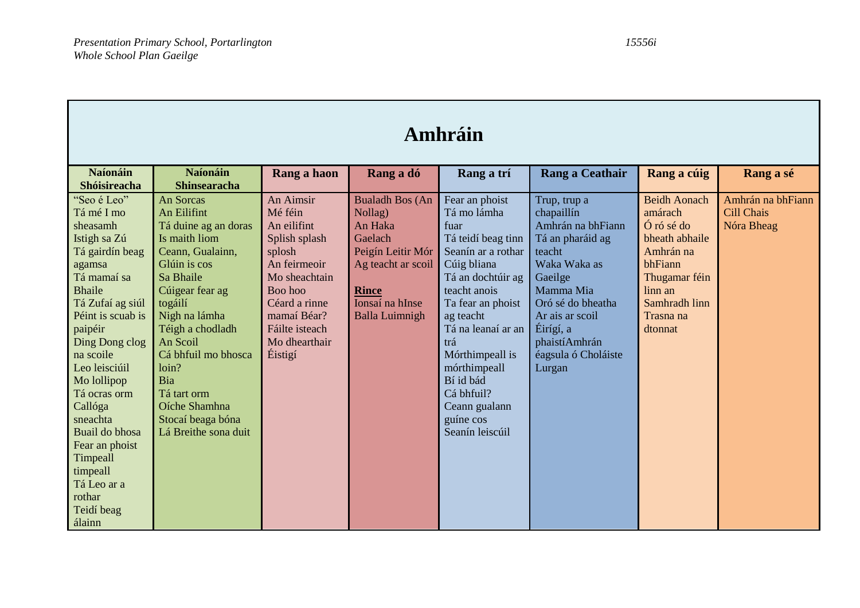| Amhráin                                                                                                                                                                                                                                                                                                                                                                                   |                                                                                                                                                                                                                                                                                                                              |                                                                                                                                                                                                 |                                                                                                                                                                |                                                                                                                                                                                                                                                                                                                     |                                                                                                                                                                                                                               |                                                                                                                                                             |                                                      |  |
|-------------------------------------------------------------------------------------------------------------------------------------------------------------------------------------------------------------------------------------------------------------------------------------------------------------------------------------------------------------------------------------------|------------------------------------------------------------------------------------------------------------------------------------------------------------------------------------------------------------------------------------------------------------------------------------------------------------------------------|-------------------------------------------------------------------------------------------------------------------------------------------------------------------------------------------------|----------------------------------------------------------------------------------------------------------------------------------------------------------------|---------------------------------------------------------------------------------------------------------------------------------------------------------------------------------------------------------------------------------------------------------------------------------------------------------------------|-------------------------------------------------------------------------------------------------------------------------------------------------------------------------------------------------------------------------------|-------------------------------------------------------------------------------------------------------------------------------------------------------------|------------------------------------------------------|--|
| <b>Naíonáin</b><br><b>Shóisireacha</b>                                                                                                                                                                                                                                                                                                                                                    | <b>Naíonáin</b><br><b>Shinsearacha</b>                                                                                                                                                                                                                                                                                       | Rang a haon                                                                                                                                                                                     | Rang a dó                                                                                                                                                      | Rang a trí                                                                                                                                                                                                                                                                                                          | Rang a Ceathair                                                                                                                                                                                                               | Rang a cúig                                                                                                                                                 | Rang a sé                                            |  |
| "Seo é Leo"<br>Tá mé I mo<br>sheasamh<br>Istigh sa Zú<br>Tá gairdín beag<br>agamsa<br>Tá mamaí sa<br><b>Bhaile</b><br>Tá Zufaí ag siúl<br>Péint is scuab is<br>paipéir<br>Ding Dong clog<br>na scoile<br>Leo leisciúil<br>Mo lollipop<br>Tá ocras orm<br>Callóga<br>sneachta<br>Buail do bhosa<br>Fear an phoist<br>Timpeall<br>timpeall<br>Tá Leo ar a<br>rothar<br>Teidí beag<br>álainn | <b>An Sorcas</b><br>An Eilifint<br>Tá duine ag an doras<br>Is maith liom<br>Ceann, Gualainn,<br>Glúin is cos<br>Sa Bhaile<br>Cúigear fear ag<br>togáilí<br>Nigh na lámha<br>Téigh a chodladh<br>An Scoil<br>Cá bhfuil mo bhosca<br>loin?<br>Bia<br>Tá tart orm<br>Oíche Shamhna<br>Stocaí beaga bóna<br>Lá Breithe sona duit | An Aimsir<br>Mé féin<br>An eilifint<br>Splish splash<br>splosh<br>An feirmeoir<br>Mo sheachtain<br>Boo hoo<br>Céard a rinne<br>mamaí Béar?<br>Fáilte isteach<br>Mo dhearthair<br><b>Éistigí</b> | <b>Bualadh Bos (An</b><br>Nollag)<br>An Haka<br>Gaelach<br>Peigín Leitir Mór<br>Ag teacht ar scoil<br><b>Rince</b><br>Ionsaí na hInse<br><b>Balla Luimnigh</b> | Fear an phoist<br>Tá mo lámha<br>fuar<br>Tá teidí beag tinn<br>Seanín ar a rothar<br>Cúig bliana<br>Tá an dochtúir ag<br>teacht anois<br>Ta fear an phoist<br>ag teacht<br>Tá na leanaí ar an<br>trá<br>Mórthimpeall is<br>mórthimpeall<br>Bí id bád<br>Cá bhfuil?<br>Ceann gualann<br>guíne cos<br>Seanín leiscúil | Trup, trup a<br>chapaillín<br>Amhrán na bhFiann<br>Tá an pharáid ag<br>teacht<br>Waka Waka as<br>Gaeilge<br>Mamma Mia<br>Oró sé do bheatha<br>Ar ais ar scoil<br>Éirígí, a<br>phaistí Amhrán<br>éagsula ó Choláiste<br>Lurgan | <b>Beidh Aonach</b><br>amárach<br>Ó ró sé do<br>bheath abhaile<br>Amhrán na<br>bhFiann<br>Thugamar féin<br>linn an<br>Samhradh linn<br>Trasna na<br>dtonnat | Amhrán na bhFiann<br><b>Cill Chais</b><br>Nóra Bheag |  |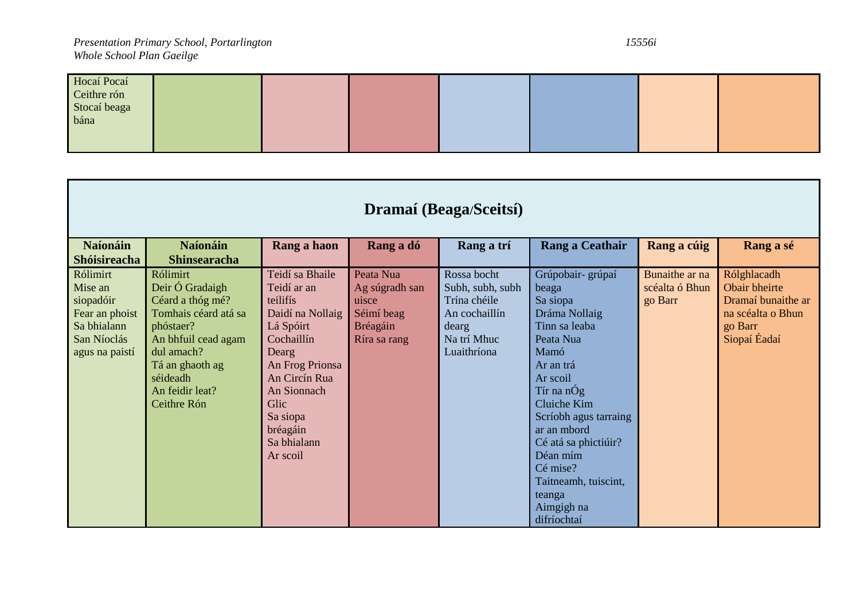| Hocaí Pocaí  |  |  |  |  |
|--------------|--|--|--|--|
| Ceithre rón  |  |  |  |  |
| Stocaí beaga |  |  |  |  |
| bána         |  |  |  |  |
|              |  |  |  |  |
|              |  |  |  |  |

| Dramaí (Beaga/Sceitsí)                                                                             |                                                                                                                                                                                            |                                                                                                                                                                                                                  |                                                                                |                                                                                                         |                                                                                                                                                                                                                                                                                                            |                                             |                                                                                                    |
|----------------------------------------------------------------------------------------------------|--------------------------------------------------------------------------------------------------------------------------------------------------------------------------------------------|------------------------------------------------------------------------------------------------------------------------------------------------------------------------------------------------------------------|--------------------------------------------------------------------------------|---------------------------------------------------------------------------------------------------------|------------------------------------------------------------------------------------------------------------------------------------------------------------------------------------------------------------------------------------------------------------------------------------------------------------|---------------------------------------------|----------------------------------------------------------------------------------------------------|
| <b>Naíonáin</b><br>Shóisireacha                                                                    | <b>Naíonáin</b><br><b>Shinsearacha</b>                                                                                                                                                     | Rang a haon                                                                                                                                                                                                      | Rang a dó                                                                      | Rang a trí                                                                                              | Rang a Ceathair                                                                                                                                                                                                                                                                                            | Rang a cúig                                 | Rang a sé                                                                                          |
| Rólimirt<br>Mise an<br>siopadóir<br>Fear an phoist<br>Sa bhialann<br>San Níoclás<br>agus na paistí | Rólimirt<br>Deir Ó Gradaigh<br>Céard a thóg mé?<br>Tomhais céard atá sa<br>phóstaer?<br>An bhfuil cead agam<br>dul amach?<br>Tá an ghaoth ag<br>séideadh<br>An feidir leat?<br>Ceithre Rón | Teidí sa Bhaile<br>Teidí ar an<br>teilifís<br>Daidí na Nollaig<br>Lá Spóirt<br>Cochaillín<br>Dearg<br>An Frog Prionsa<br>An Circín Rua<br>An Sionnach<br>Glic<br>Sa siopa<br>bréagáin<br>Sa bhialann<br>Ar scoil | Peata Nua<br>Ag súgradh san<br>uisce<br>Séimí beag<br>Bréagáin<br>Ríra sa rang | Rossa bocht<br>Subh, subh, subh<br>Trína chéile<br>An cochaillín<br>dearg<br>Na trí Mhuc<br>Luaithríona | Grúpobair- grúpaí<br>beaga<br>Sa siopa<br>Dráma Nollaig<br>Tinn sa leaba<br>Peata Nua<br>Mamó<br>Ar an trá<br>Ar scoil<br>Tír na nÓg<br>Cluiche Kim<br>Scríobh agus tarraing<br>ar an mbord<br>Cé atá sa phictiúir?<br>Déan mím<br>Cé mise?<br>Taitneamh, tuiscint,<br>teanga<br>Aimgigh na<br>difríochtaí | Bunaithe ar na<br>scéalta ó Bhun<br>go Barr | Rólghlacadh<br>Obair bheirte<br>Dramaí bunaithe ar<br>na scéalta o Bhun<br>go Barr<br>Siopaí Éadaí |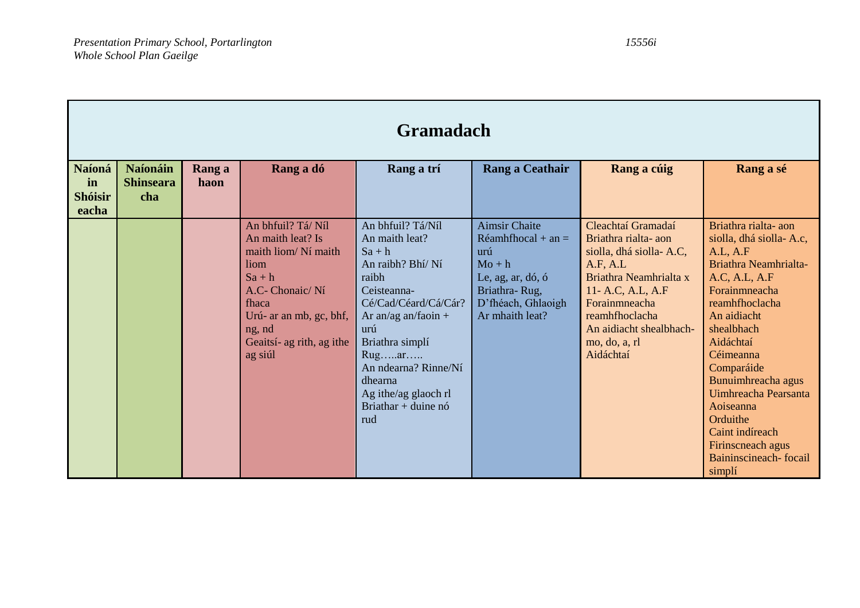|                                                | <b>Gramadach</b>                           |                |                                                                                                                                                                                             |                                                                                                                                                                                                                                                                             |                                                                                                                                                |                                                                                                                                                                                                                             |                                                                                                                                                                                                                                                                                                                                                                |  |
|------------------------------------------------|--------------------------------------------|----------------|---------------------------------------------------------------------------------------------------------------------------------------------------------------------------------------------|-----------------------------------------------------------------------------------------------------------------------------------------------------------------------------------------------------------------------------------------------------------------------------|------------------------------------------------------------------------------------------------------------------------------------------------|-----------------------------------------------------------------------------------------------------------------------------------------------------------------------------------------------------------------------------|----------------------------------------------------------------------------------------------------------------------------------------------------------------------------------------------------------------------------------------------------------------------------------------------------------------------------------------------------------------|--|
| <b>Naíoná</b><br>in<br><b>Shóisir</b><br>eacha | <b>Naíonáin</b><br><b>Shinseara</b><br>cha | Rang a<br>haon | Rang a dó                                                                                                                                                                                   | Rang a trí                                                                                                                                                                                                                                                                  | Rang a Ceathair                                                                                                                                | Rang a cúig                                                                                                                                                                                                                 | Rang a sé                                                                                                                                                                                                                                                                                                                                                      |  |
|                                                |                                            |                | An bhfuil? Tá/ Níl<br>An maith leat? Is<br>maith liom/Ní maith<br>liom<br>$Sa + h$<br>A.C- Chonaic/Ní<br>fhaca<br>Urú- ar an mb, gc, bhf,<br>ng, nd<br>Geaitsí- ag rith, ag ithe<br>ag siúl | An bhfuil? Tá/Níl<br>An maith leat?<br>$Sa + h$<br>An raibh? Bhí/ Ní<br>raibh<br>Ceisteanna-<br>Cé/Cad/Céard/Cá/Cár?<br>Ar an/ag an/faoin $+$<br>urú<br>Briathra simplí<br>Rugar<br>An ndearna? Rinne/Ní<br>dhearna<br>Ag ithe/ag glaoch rl<br>Briathar + duine $n6$<br>rud | <b>Aimsir Chaite</b><br>$Réamhfhocal + an =$<br>urú<br>$Mo + h$<br>Le, ag, ar, dó, ó<br>Briathra-Rug,<br>D'fhéach, Ghlaoigh<br>Ar mhaith leat? | Cleachtaí Gramadaí<br>Briathra rialta-aon<br>siolla, dhá siolla-A.C,<br>A.F. A.L<br>Briathra Neamhrialta x<br>11- A.C, A.L, A.F<br>Forainmneacha<br>reamhfhoclacha<br>An aidiacht shealbhach-<br>mo, do, a, rl<br>Aidáchtaí | Briathra rialta-aon<br>siolla, dhá siolla-A.c,<br>A.L, A.F<br>Briathra Neamhrialta-<br>A.C, A.L, A.F<br>Forainmneacha<br>reamhfhoclacha<br>An aidiacht<br>shealbhach<br>Aidáchtaí<br>Céimeanna<br>Comparáide<br>Bunuimhreacha agus<br>Uimhreacha Pearsanta<br>Aoiseanna<br>Orduithe<br>Caint indíreach<br>Firinscneach agus<br>Baininscineach-focail<br>simplí |  |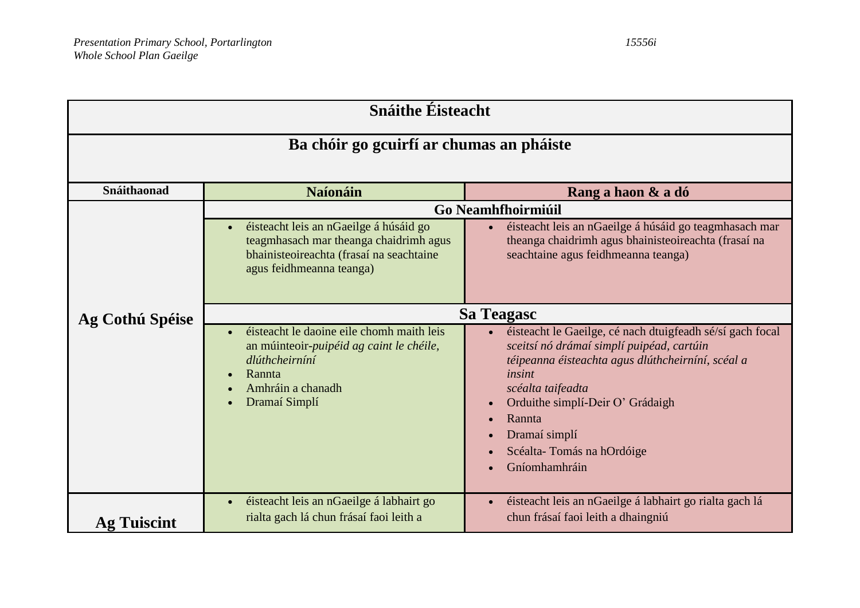| <b>Snáithe Éisteacht</b>                             |                                                                                                                                                          |                                                                                                                                                                                                                                                                                                                                                |  |  |  |  |  |  |  |
|------------------------------------------------------|----------------------------------------------------------------------------------------------------------------------------------------------------------|------------------------------------------------------------------------------------------------------------------------------------------------------------------------------------------------------------------------------------------------------------------------------------------------------------------------------------------------|--|--|--|--|--|--|--|
| Ba chóir go gcuirfí ar chumas an pháiste             |                                                                                                                                                          |                                                                                                                                                                                                                                                                                                                                                |  |  |  |  |  |  |  |
| Snáithaonad<br><b>Naíonáin</b><br>Rang a haon & a dó |                                                                                                                                                          |                                                                                                                                                                                                                                                                                                                                                |  |  |  |  |  |  |  |
|                                                      |                                                                                                                                                          |                                                                                                                                                                                                                                                                                                                                                |  |  |  |  |  |  |  |
|                                                      | éisteacht leis an nGaeilge á húsáid go<br>teagmhasach mar theanga chaidrimh agus<br>bhainisteoireachta (frasaí na seachtaine<br>agus feidhmeanna teanga) | <b>Go Neamhfhoirmiúil</b><br>éisteacht leis an nGaeilge á húsáid go teagmhasach mar<br>$\bullet$<br>theanga chaidrimh agus bhainisteoireachta (frasaí na<br>seachtaine agus feidhmeanna teanga)                                                                                                                                                |  |  |  |  |  |  |  |
| Ag Cothú Spéise                                      | <b>Sa Teagasc</b>                                                                                                                                        |                                                                                                                                                                                                                                                                                                                                                |  |  |  |  |  |  |  |
|                                                      | éisteacht le daoine eile chomh maith leis<br>an múinteoir-puipéid ag caint le chéile,<br>dlúthcheirníní<br>Rannta<br>Amhráin a chanadh<br>Dramaí Simplí  | éisteacht le Gaeilge, cé nach dtuigfeadh sé/sí gach focal<br>sceitsí nó drámaí simplí puipéad, cartúin<br>téipeanna éisteachta agus dlúthcheirníní, scéal a<br>insint<br>scéalta taifeadta<br>Orduithe simplí-Deir O' Grádaigh<br>$\bullet$<br>Rannta<br>$\bullet$<br>Dramaí simplí<br>$\bullet$<br>Scéalta-Tomás na hOrdóige<br>Gníomhamhráin |  |  |  |  |  |  |  |
| <b>Ag Tuiscint</b>                                   | éisteacht leis an nGaeilge á labhairt go<br>rialta gach lá chun frásaí faoi leith a                                                                      | éisteacht leis an nGaeilge á labhairt go rialta gach lá<br>$\bullet$<br>chun frásaí faoi leith a dhaingniú                                                                                                                                                                                                                                     |  |  |  |  |  |  |  |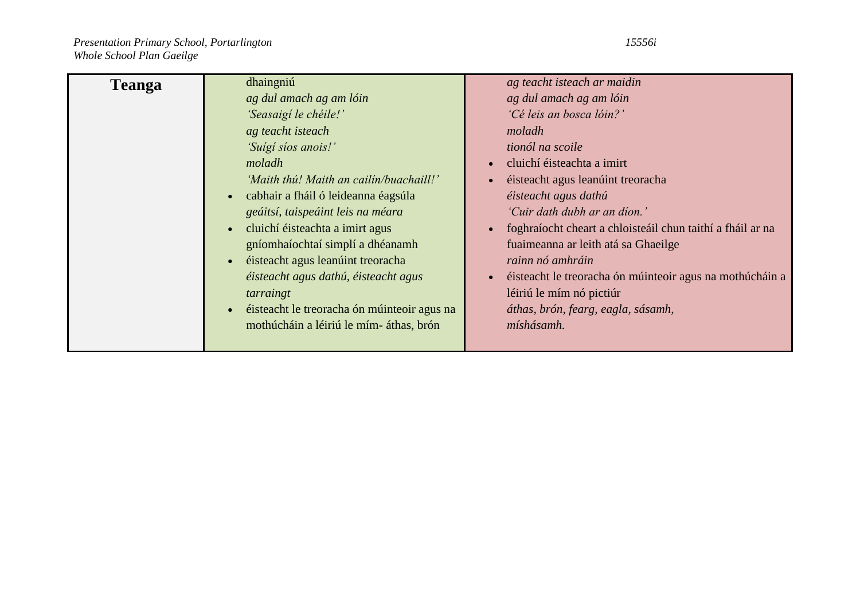| <b>Teanga</b> | dhaingniú                                                | ag teacht isteach ar maidin                                             |
|---------------|----------------------------------------------------------|-------------------------------------------------------------------------|
|               | ag dul amach ag am lóin                                  | ag dul amach ag am lóin                                                 |
|               | 'Seasaigí le chéile!'                                    | 'Cé leis an bosca lóin?'                                                |
|               | ag teacht isteach                                        | moladh                                                                  |
|               | 'Suígí síos anois!'                                      | tionól na scoile                                                        |
|               | moladh                                                   | cluichí éisteachta a imirt<br>$\bullet$                                 |
|               | 'Maith thú! Maith an cailín/buachaill!'                  | éisteacht agus leanúint treoracha                                       |
|               | cabhair a fháil ó leideanna éagsúla<br>$\bullet$         | éisteacht agus dathú                                                    |
|               | geáitsí, taispeáint leis na méara                        | 'Cuir dath dubh ar an díon.'                                            |
|               | cluichí éisteachta a imirt agus<br>$\bullet$             | foghraíocht cheart a chloisteáil chun taithí a fháil ar na<br>$\bullet$ |
|               | gníomhaíochtaí simplí a dhéanamh                         | fuaimeanna ar leith atá sa Ghaeilge                                     |
|               | éisteacht agus leanúint treoracha<br>$\bullet$           | rainn nó amhráin                                                        |
|               | éisteacht agus dathú, éisteacht agus                     | éisteacht le treoracha ón múinteoir agus na mothúcháin a<br>$\bullet$   |
|               | tarraingt                                                | léiriú le mím nó pictiúr                                                |
|               | éisteacht le treoracha ón múinteoir agus na<br>$\bullet$ | áthas, brón, fearg, eagla, sásamh,                                      |
|               | mothúcháin a léiriú le mím-áthas, brón                   | míshásamh.                                                              |
|               |                                                          |                                                                         |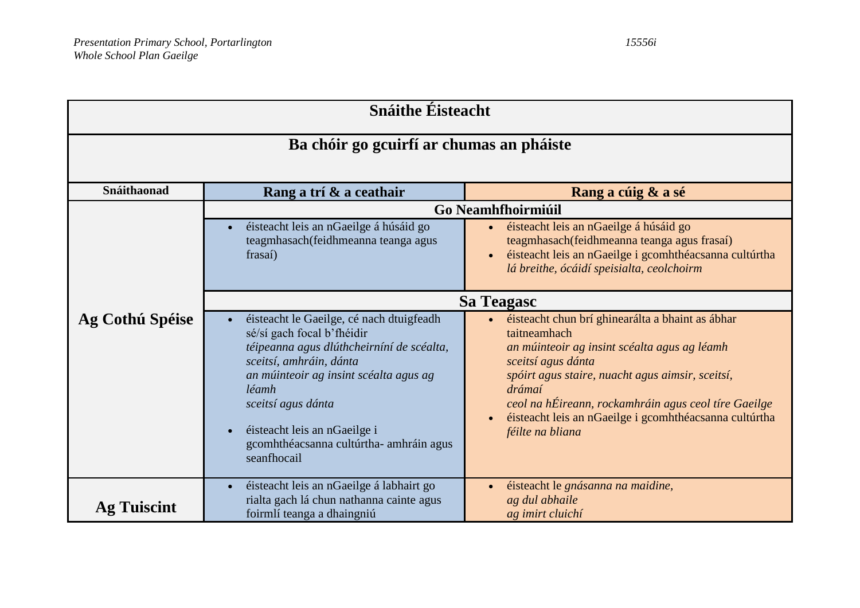| <b>Snáithe Éisteacht</b>                                     |                                                                                                                                                                                                                                                                                                                                |                                                                                                                                                                                                                                                                                                                                                         |  |  |  |  |  |  |
|--------------------------------------------------------------|--------------------------------------------------------------------------------------------------------------------------------------------------------------------------------------------------------------------------------------------------------------------------------------------------------------------------------|---------------------------------------------------------------------------------------------------------------------------------------------------------------------------------------------------------------------------------------------------------------------------------------------------------------------------------------------------------|--|--|--|--|--|--|
|                                                              | Ba chóir go gcuirfí ar chumas an pháiste                                                                                                                                                                                                                                                                                       |                                                                                                                                                                                                                                                                                                                                                         |  |  |  |  |  |  |
| Snáithaonad<br>Rang a trí & a ceathair<br>Rang a cúig & a sé |                                                                                                                                                                                                                                                                                                                                |                                                                                                                                                                                                                                                                                                                                                         |  |  |  |  |  |  |
|                                                              |                                                                                                                                                                                                                                                                                                                                | Go Neamhfhoirmiúil                                                                                                                                                                                                                                                                                                                                      |  |  |  |  |  |  |
|                                                              | éisteacht leis an nGaeilge á húsáid go<br>teagmhasach(feidhmeanna teanga agus<br>frasaí)                                                                                                                                                                                                                                       | éisteacht leis an nGaeilge á húsáid go<br>teagmhasach (feidhmeanna teanga agus frasaí)<br>éisteacht leis an nGaeilge i gcomhthéacsanna cultúrtha<br>$\bullet$<br>lá breithe, ócáidí speisialta, ceolchoirm                                                                                                                                              |  |  |  |  |  |  |
|                                                              | Sa Teagasc                                                                                                                                                                                                                                                                                                                     |                                                                                                                                                                                                                                                                                                                                                         |  |  |  |  |  |  |
| Ag Cothú Spéise                                              | éisteacht le Gaeilge, cé nach dtuigfeadh<br>sé/sí gach focal b'fhéidir<br>téipeanna agus dlúthcheirníní de scéalta,<br>sceitsí, amhráin, dánta<br>an múinteoir ag insint scéalta agus ag<br>léamh<br>sceitsí agus dánta<br>éisteacht leis an nGaeilge i<br>$\bullet$<br>gcomhthéacsanna cultúrtha- amhráin agus<br>seanfhocail | éisteacht chun brí ghinearálta a bhaint as ábhar<br>taitneamhach<br>an múinteoir ag insint scéalta agus ag léamh<br>sceitsí agus dánta<br>spóirt agus staire, nuacht agus aimsir, sceitsí,<br>drámaí<br>ceol na hÉireann, rockamhráin agus ceol tíre Gaeilge<br>éisteacht leis an nGaeilge i gcomhthéacsanna cultúrtha<br>$\bullet$<br>féilte na bliana |  |  |  |  |  |  |
|                                                              | éisteacht leis an nGaeilge á labhairt go<br>rialta gach lá chun nathanna cainte agus                                                                                                                                                                                                                                           | éisteacht le gnásanna na maidine,<br>$\bullet$<br>ag dul abhaile                                                                                                                                                                                                                                                                                        |  |  |  |  |  |  |
| <b>Ag Tuiscint</b>                                           | foirmlí teanga a dhaingniú                                                                                                                                                                                                                                                                                                     | ag imirt cluichí                                                                                                                                                                                                                                                                                                                                        |  |  |  |  |  |  |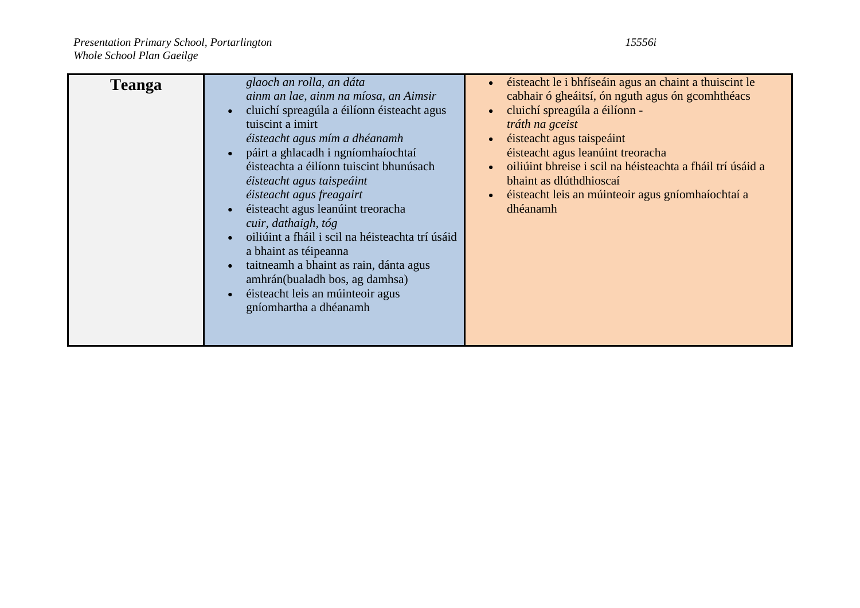| <b>Teanga</b> | glaoch an rolla, an dáta<br>ainm an lae, ainm na míosa, an Aimsir<br>cluichí spreagúla a éilíonn éisteacht agus<br>$\bullet$<br>tuiscint a imirt<br>éisteacht agus mím a dhéanamh<br>páirt a ghlacadh i ngníomhaíochtaí<br>$\bullet$<br>éisteachta a éilíonn tuiscint bhunúsach<br>éisteacht agus taispeáint<br>éisteacht agus freagairt<br>éisteacht agus leanúint treoracha<br>$\bullet$<br>cuir, dathaigh, tóg<br>oiliúint a fháil i scil na héisteachta trí úsáid<br>$\bullet$<br>a bhaint as téipeanna<br>taitheamh a bhaint as rain, dánta agus<br>$\bullet$<br>amhrán(bualadh bos, ag damhsa)<br>éisteacht leis an múinteoir agus<br>$\bullet$<br>gníomhartha a dhéanamh | éisteacht le i bhfíseáin agus an chaint a thuiscint le<br>cabhair ó gheáitsí, ón nguth agus ón gcomhthéacs<br>cluichí spreagúla a éilíonn -<br>tráth na gceist<br>éisteacht agus taispeáint<br>éisteacht agus leanúint treoracha<br>oiliúint bhreise i scil na héisteachta a fháil trí úsáid a<br>bhaint as dlúthdhioscaí<br>éisteacht leis an múinteoir agus gníomhaíochtaí a<br>dhéanamh |
|---------------|---------------------------------------------------------------------------------------------------------------------------------------------------------------------------------------------------------------------------------------------------------------------------------------------------------------------------------------------------------------------------------------------------------------------------------------------------------------------------------------------------------------------------------------------------------------------------------------------------------------------------------------------------------------------------------|--------------------------------------------------------------------------------------------------------------------------------------------------------------------------------------------------------------------------------------------------------------------------------------------------------------------------------------------------------------------------------------------|
|---------------|---------------------------------------------------------------------------------------------------------------------------------------------------------------------------------------------------------------------------------------------------------------------------------------------------------------------------------------------------------------------------------------------------------------------------------------------------------------------------------------------------------------------------------------------------------------------------------------------------------------------------------------------------------------------------------|--------------------------------------------------------------------------------------------------------------------------------------------------------------------------------------------------------------------------------------------------------------------------------------------------------------------------------------------------------------------------------------------|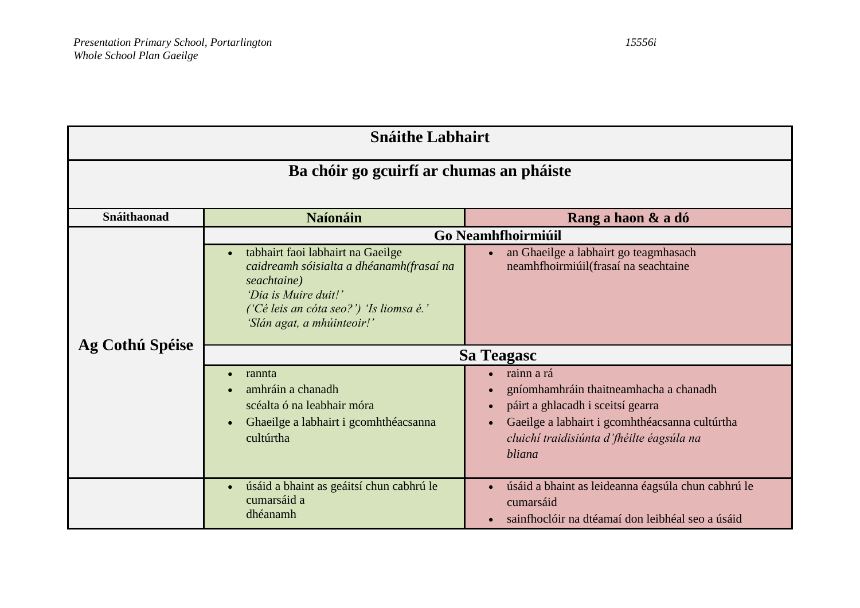| <b>Snáithe Labhairt</b> |                                                                                                                                                                                                            |                                                                                                                                                                                                    |  |  |  |  |  |  |
|-------------------------|------------------------------------------------------------------------------------------------------------------------------------------------------------------------------------------------------------|----------------------------------------------------------------------------------------------------------------------------------------------------------------------------------------------------|--|--|--|--|--|--|
|                         | Ba chóir go gcuirfí ar chumas an pháiste                                                                                                                                                                   |                                                                                                                                                                                                    |  |  |  |  |  |  |
| Snáithaonad             | <b>Naíonáin</b><br>Rang a haon & a dó                                                                                                                                                                      |                                                                                                                                                                                                    |  |  |  |  |  |  |
|                         | tabhairt faoi labhairt na Gaeilge<br>$\bullet$<br>caidreamh sóisialta a dhéanamh(frasaí na<br>seachtaine)<br>'Dia is Muire duit!'<br>('Cé leis an cóta seo?') 'Is liomsa é.'<br>'Slán agat, a mhúinteoir!' | Go Neamhfhoirmiúil<br>an Ghaeilge a labhairt go teagmhasach<br>neamhfhoirmiúil(frasaí na seachtaine                                                                                                |  |  |  |  |  |  |
| Ag Cothú Spéise         | <b>Sa Teagasc</b>                                                                                                                                                                                          |                                                                                                                                                                                                    |  |  |  |  |  |  |
|                         | rannta<br>amhráin a chanadh<br>scéalta ó na leabhair móra<br>Ghaeilge a labhairt i gcomhthéacsanna<br>cultúrtha                                                                                            | rainn a rá<br>gníomhamhráin thaitneamhacha a chanadh<br>páirt a ghlacadh i sceitsí gearra<br>Gaeilge a labhairt i gcomhthéacsanna cultúrtha<br>cluichí traidisiúnta d'fhéilte éagsúla na<br>bliana |  |  |  |  |  |  |
|                         | úsáid a bhaint as geáitsí chun cabhrú le<br>$\bullet$<br>cumarsáid a<br>dhéanamh                                                                                                                           | úsáid a bhaint as leideanna éagsúla chun cabhrú le<br>cumarsáid<br>sainfhoclóir na dtéamaí don leibhéal seo a úsáid                                                                                |  |  |  |  |  |  |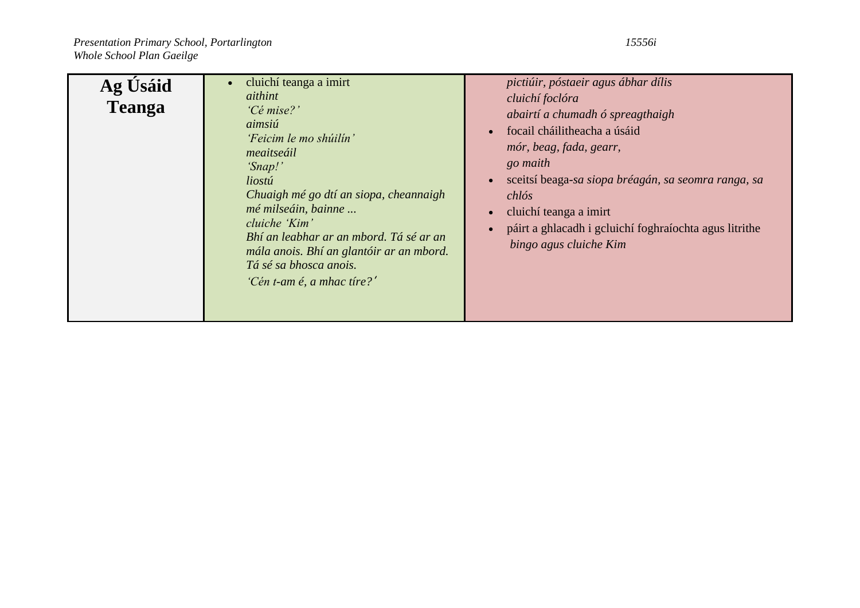| Ag Usáid<br><b>Teanga</b> | cluichí teanga a imirt<br>$\bullet$<br>aithint<br>'Cé mise?'<br>aimsiú<br>'Feicim le mo shúilín'<br>meaitseáil<br>'Snap!'<br>liostú<br>Chuaigh mé go dtí an siopa, cheannaigh<br>mé milseáin, bainne<br>cluiche 'Kim'<br>Bhí an leabhar ar an mbord. Tá sé ar an<br>mála anois. Bhí an glantóir ar an mbord.<br>Tá sé sa bhosca anois.<br>'Cén t-am é, a mhac tíre?' | pictiúir, póstaeir agus ábhar dílis<br>cluichí foclóra<br>abairtí a chumadh ó spreagthaigh<br>focail cháilitheacha a úsáid<br>$\bullet$<br>mór, beag, fada, gearr,<br>go maith<br>sceitsí beaga-sa siopa bréagán, sa seomra ranga, sa<br>$\bullet$<br>chlós<br>cluichí teanga a imirt<br>páirt a ghlacadh i gcluichí foghraíochta agus litrithe<br>bingo agus cluiche Kim |
|---------------------------|----------------------------------------------------------------------------------------------------------------------------------------------------------------------------------------------------------------------------------------------------------------------------------------------------------------------------------------------------------------------|---------------------------------------------------------------------------------------------------------------------------------------------------------------------------------------------------------------------------------------------------------------------------------------------------------------------------------------------------------------------------|
|---------------------------|----------------------------------------------------------------------------------------------------------------------------------------------------------------------------------------------------------------------------------------------------------------------------------------------------------------------------------------------------------------------|---------------------------------------------------------------------------------------------------------------------------------------------------------------------------------------------------------------------------------------------------------------------------------------------------------------------------------------------------------------------------|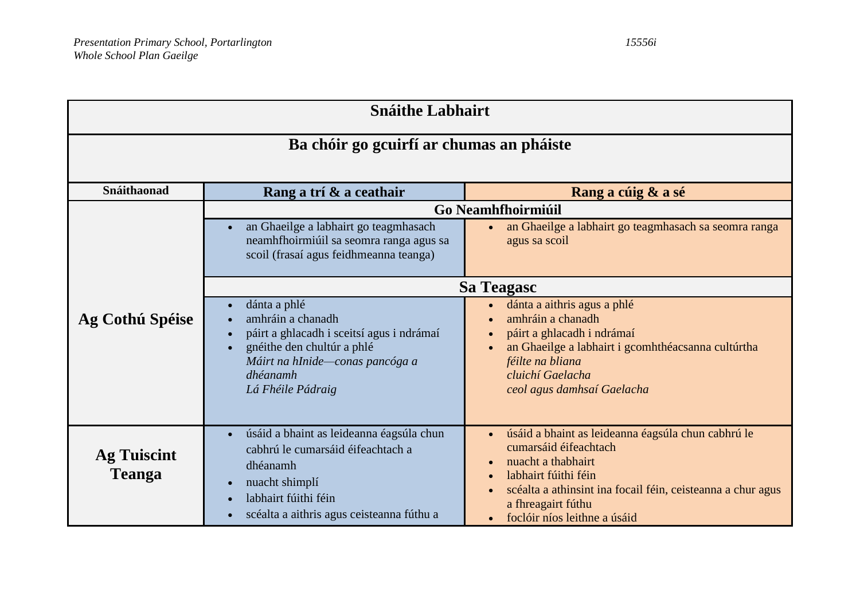| <b>Snáithe Labhairt</b>                  |                                                                                                                                                                                                                                                                                                                                                                                                                                                                                                                                                                                                                                            |                                                                                                                                                                                                                                                                                                    |  |  |  |  |  |
|------------------------------------------|--------------------------------------------------------------------------------------------------------------------------------------------------------------------------------------------------------------------------------------------------------------------------------------------------------------------------------------------------------------------------------------------------------------------------------------------------------------------------------------------------------------------------------------------------------------------------------------------------------------------------------------------|----------------------------------------------------------------------------------------------------------------------------------------------------------------------------------------------------------------------------------------------------------------------------------------------------|--|--|--|--|--|
| Ba chóir go gcuirfí ar chumas an pháiste |                                                                                                                                                                                                                                                                                                                                                                                                                                                                                                                                                                                                                                            |                                                                                                                                                                                                                                                                                                    |  |  |  |  |  |
| Snáithaonad                              | Rang a trí & a ceathair<br>Rang a cúig & a sé                                                                                                                                                                                                                                                                                                                                                                                                                                                                                                                                                                                              |                                                                                                                                                                                                                                                                                                    |  |  |  |  |  |
| Ag Cothú Spéise                          | Go Neamhfhoirmiúil<br>an Ghaeilge a labhairt go teagmhasach<br>an Ghaeilge a labhairt go teagmhasach sa seomra ranga<br>neamhfhoirmiúil sa seomra ranga agus sa<br>agus sa scoil<br>scoil (frasaí agus feidhmeanna teanga)<br>Sa Teagasc<br>dánta a phlé<br>dánta a aithris agus a phlé<br>amhráin a chanadh<br>amhráin a chanadh<br>páirt a ghlacadh i sceitsí agus i ndrámaí<br>páirt a ghlacadh i ndrámaí<br>an Ghaeilge a labhairt i gcomhthéacsanna cultúrtha<br>gnéithe den chultúr a phlé<br>Máirt na hInide-conas pancóga a<br>féilte na bliana<br>dhéanamh<br>cluichí Gaelacha<br>Lá Fhéile Pádraig<br>ceol agus damhsaí Gaelacha |                                                                                                                                                                                                                                                                                                    |  |  |  |  |  |
| <b>Ag Tuiscint</b><br><b>Teanga</b>      | úsáid a bhaint as leideanna éagsúla chun<br>cabhrú le cumarsáid éifeachtach a<br>dhéanamh<br>nuacht shimplí<br>labhairt fúithi féin<br>scéalta a aithris agus ceisteanna fúthu a                                                                                                                                                                                                                                                                                                                                                                                                                                                           | úsáid a bhaint as leideanna éagsúla chun cabhrú le<br>$\bullet$<br>cumarsáid éifeachtach<br>nuacht a thabhairt<br>labhairt fúithi féin<br>$\bullet$<br>scéalta a athinsint ina focail féin, ceisteanna a chur agus<br>$\bullet$<br>a fhreagairt fúthu<br>foclóir níos leithne a úsáid<br>$\bullet$ |  |  |  |  |  |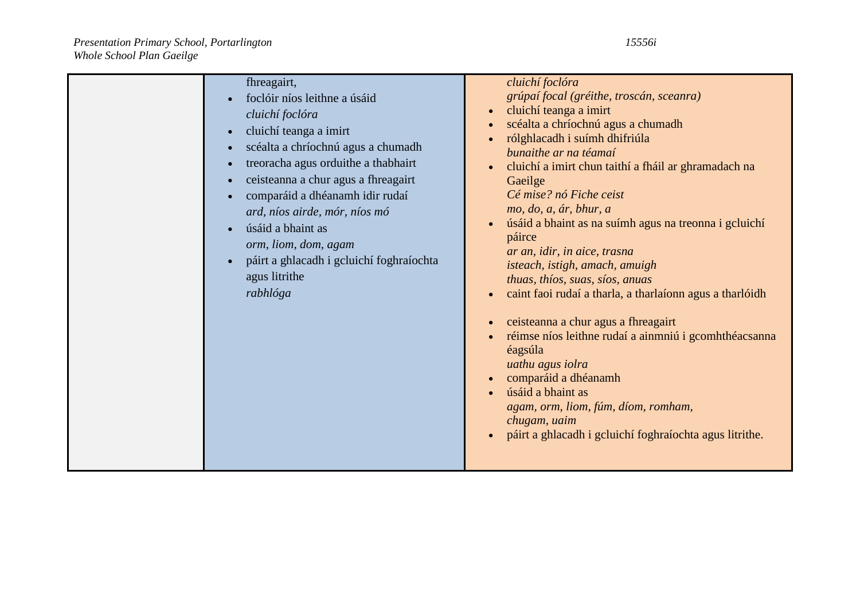| fhreagairt,<br>foclóir níos leithne a úsáid<br>cluichí foclóra<br>cluichí teanga a imirt<br>$\bullet$<br>scéalta a chríochnú agus a chumadh<br>treoracha agus orduithe a thabhairt<br>ceisteanna a chur agus a fhreagairt<br>comparáid a dhéanamh idir rudaí<br>ard, níos airde, mór, níos mó<br>úsáid a bhaint as<br>orm, liom, dom, agam<br>páirt a ghlacadh i gcluichí foghraíochta<br>$\bullet$<br>agus litrithe<br>rabhlóga | cluichí foclóra<br>grúpaí focal (gréithe, troscán, sceanra)<br>cluichí teanga a imirt<br>$\bullet$<br>scéalta a chríochnú agus a chumadh<br>$\bullet$<br>rólghlacadh i suímh dhifriúla<br>bunaithe ar na téamaí<br>cluichí a imirt chun taithí a fháil ar ghramadach na<br>$\bullet$<br>Gaeilge<br>Cé mise? nó Fiche ceist<br>mo, do, a, ár, bhur, a<br>úsáid a bhaint as na suímh agus na treonna i gcluichí<br>páirce<br>ar an, idir, in aice, trasna<br>isteach, istigh, amach, amuigh<br>thuas, thíos, suas, síos, anuas<br>caint faoi rudaí a tharla, a tharlaíonn agus a tharlóidh<br>$\bullet$<br>ceisteanna a chur agus a fhreagairt<br>$\bullet$<br>réimse níos leithne rudaí a ainmniú i gcomhthéacsanna<br>$\bullet$<br>éagsúla<br>uathu agus iolra<br>comparáid a dhéanamh<br>$\bullet$<br>úsáid a bhaint as<br>agam, orm, liom, fúm, díom, romham,<br>chugam, uaim<br>páirt a ghlacadh i gcluichí foghraíochta agus litrithe. |
|----------------------------------------------------------------------------------------------------------------------------------------------------------------------------------------------------------------------------------------------------------------------------------------------------------------------------------------------------------------------------------------------------------------------------------|--------------------------------------------------------------------------------------------------------------------------------------------------------------------------------------------------------------------------------------------------------------------------------------------------------------------------------------------------------------------------------------------------------------------------------------------------------------------------------------------------------------------------------------------------------------------------------------------------------------------------------------------------------------------------------------------------------------------------------------------------------------------------------------------------------------------------------------------------------------------------------------------------------------------------------------------|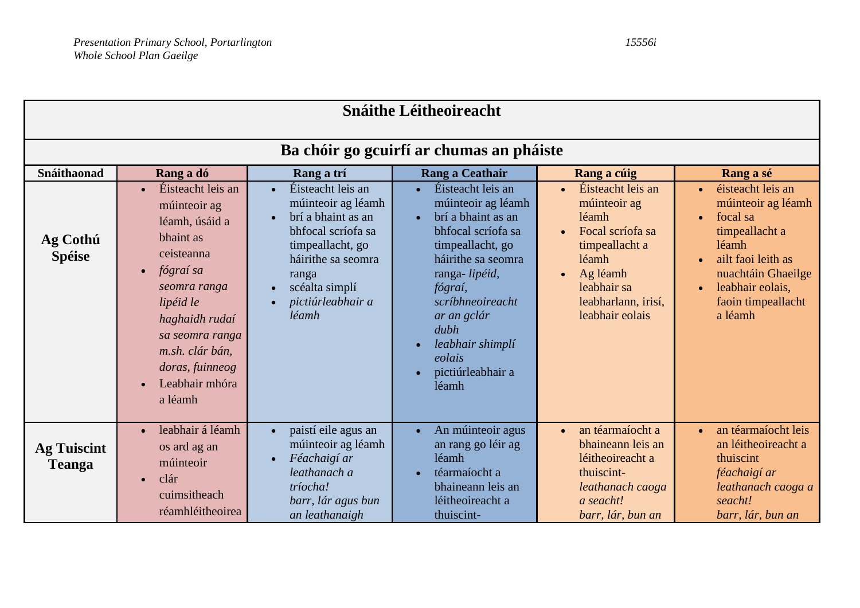| <b>Snáithe Léitheoireacht</b>       |                                                                                                                                                                                                                                               |                                                                                                                                                                                        |                                                                                                                                                                                                                                                                                            |                                                                                                                                                                                          |                                                                                                                                                                                                                                     |
|-------------------------------------|-----------------------------------------------------------------------------------------------------------------------------------------------------------------------------------------------------------------------------------------------|----------------------------------------------------------------------------------------------------------------------------------------------------------------------------------------|--------------------------------------------------------------------------------------------------------------------------------------------------------------------------------------------------------------------------------------------------------------------------------------------|------------------------------------------------------------------------------------------------------------------------------------------------------------------------------------------|-------------------------------------------------------------------------------------------------------------------------------------------------------------------------------------------------------------------------------------|
|                                     |                                                                                                                                                                                                                                               |                                                                                                                                                                                        | Ba chóir go gcuirfí ar chumas an pháiste                                                                                                                                                                                                                                                   |                                                                                                                                                                                          |                                                                                                                                                                                                                                     |
| Snáithaonad                         | Rang a dó                                                                                                                                                                                                                                     | Rang a trí                                                                                                                                                                             | <b>Rang a Ceathair</b>                                                                                                                                                                                                                                                                     | Rang a cúig                                                                                                                                                                              | Rang a sé                                                                                                                                                                                                                           |
| Ag Cothú<br><b>Spéise</b>           | Éisteacht leis an<br>múinteoir ag<br>léamh, úsáid a<br>bhaint as<br>ceisteanna<br>fógraí sa<br>$\bullet$<br>seomra ranga<br>lipéid le<br>haghaidh rudaí<br>sa seomra ranga<br>m.sh. clár bán,<br>doras, fuinneog<br>Leabhair mhóra<br>a léamh | Éisteacht leis an<br>múinteoir ag léamh<br>brí a bhaint as an<br>bhfocal scríofa sa<br>timpeallacht, go<br>háirithe sa seomra<br>ranga<br>scéalta simplí<br>pictiúrleabhair a<br>léamh | Éisteacht leis an<br>$\bullet$<br>múinteoir ag léamh<br>brí a bhaint as an<br>$\bullet$<br>bhfocal scríofa sa<br>timpeallacht, go<br>háirithe sa seomra<br>ranga-lipéid,<br>fógraí,<br>scríbhneoireacht<br>ar an gclár<br>dubh<br>leabhair shimplí<br>eolais<br>pictiúrleabhair a<br>léamh | Éisteacht leis an<br>múinteoir ag<br>léamh<br>Focal scríofa sa<br>$\bullet$<br>timpeallacht a<br>léamh<br>Ag léamh<br>$\bullet$<br>leabhair sa<br>leabharlann, irisí,<br>leabhair eolais | éisteacht leis an<br>$\bullet$<br>múinteoir ag léamh<br>focal sa<br>$\bullet$<br>timpeallacht a<br>léamh<br>ailt faoi leith as<br>$\bullet$<br>nuachtáin Ghaeilge<br>leabhair eolais,<br>$\bullet$<br>faoin timpeallacht<br>a léamh |
| <b>Ag Tuiscint</b><br><b>Teanga</b> | leabhair á léamh<br>$\bullet$<br>os ard ag an<br>múinteoir<br>clár<br>$\bullet$<br>cuimsitheach<br>réamhléitheoirea                                                                                                                           | paistí eile agus an<br>$\bullet$<br>múinteoir ag léamh<br>Féachaigí ar<br>$\bullet$<br>leathanach a<br>tríocha!<br>barr, lár agus bun<br>an leathanaigh                                | An múinteoir agus<br>$\bullet$<br>an rang go léir ag<br>léamh<br>téarmaíocht a<br>$\bullet$<br>bhaineann leis an<br>léitheoireacht a<br>thuiscint-                                                                                                                                         | an téarmaíocht a<br>$\bullet$<br>bhaineann leis an<br>léitheoireacht a<br>thuiscint-<br>leathanach caoga<br>a seacht!<br>barr, lár, bun an                                               | an téarmaíocht leis<br>$\bullet$<br>an léitheoireacht a<br>thuiscint<br>féachaigí ar<br>leathanach caoga a<br>seacht!<br>barr, lár, bun an                                                                                          |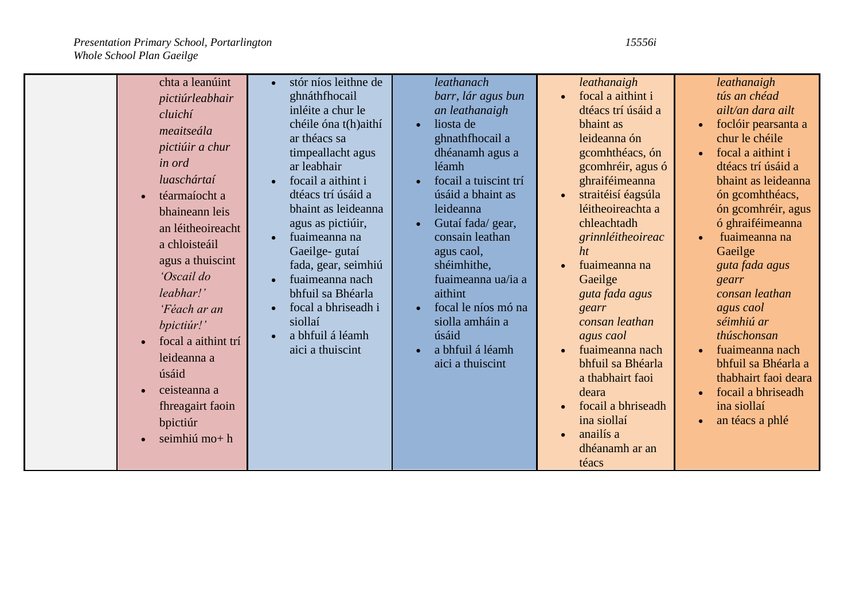|  | chta a leanúint<br>pictiúrleabhair<br>cluichí<br>meaitseála<br>pictiúir a chur<br><i>in ord</i><br>luaschártaí<br>téarmaíocht a<br>bhaineann leis<br>an léitheoireacht<br>a chloisteáil<br>agus a thuiscint<br>'Oscail do<br>leabhar!'<br>'Féach ar an<br>bpictiúr!'<br>focal a aithint trí<br>leideanna a<br>úsáid<br>ceisteanna a<br>fhreagairt faoin<br>bpictiúr<br>seimhiú mo+h | stór níos leithne de<br>$\bullet$<br>ghnáthfhocail<br>inléite a chur le<br>chéile óna t(h)aithí<br>ar théacs sa<br>timpeallacht agus<br>ar leabhair<br>focail a aithint i<br>$\bullet$<br>dtéacs trí úsáid a<br>bhaint as leideanna<br>agus as pictiúir,<br>fuaimeanna na<br>$\bullet$<br>Gaeilge- gutaí<br>fada, gear, seimhiú<br>fuaimeanna nach<br>bhfuil sa Bhéarla<br>focal a bhriseadh i<br>$\bullet$<br>siollaí<br>a bhfuil á léamh<br>$\bullet$<br>aici a thuiscint | leathanach<br>barr, lár agus bun<br>an leathanaigh<br>liosta de<br>$\bullet$<br>ghnathfhocail a<br>dhéanamh agus a<br>léamh<br>focail a tuiscint trí<br>úsáid a bhaint as<br>leideanna<br>Gutaí fada/gear,<br>$\bullet$<br>consain leathan<br>agus caol,<br>shéimhithe,<br>fuaimeanna ua/ia a<br>aithint<br>focal le níos mó na<br>$\bullet$<br>siolla amháin a<br>úsáid<br>a bhfuil á léamh<br>$\bullet$<br>aici a thuiscint | leathanaigh<br>focal a aithint i<br>$\bullet$<br>dtéacs trí úsáid a<br>bhaint as<br>leideanna ón<br>gcomhthéacs, ón<br>gcomhréir, agus ó<br>ghraiféimeanna<br>straitéisí éagsúla<br>$\bullet$<br>léitheoireachta a<br>chleachtadh<br>grinnléitheoireac<br>ht<br>fuaimeanna na<br>Gaeilge<br>guta fada agus<br>gearr<br>consan leathan<br>agus caol<br>fuaimeanna nach<br>$\bullet$<br>bhfuil sa Bhéarla<br>a thabhairt faoi<br>deara<br>focail a bhriseadh<br>ina siollaí<br>anailís a<br>dhéanamh ar an | leathanaigh<br>tús an chéad<br>ailt/an dara ailt<br>foclóir pearsanta a<br>$\bullet$<br>chur le chéile<br>focal a aithint i<br>$\bullet$<br>dtéacs trí úsáid a<br>bhaint as leideanna<br>ón gcomhthéacs,<br>ón gcomhréir, agus<br>ó ghraiféimeanna<br>fuaimeanna na<br>$\bullet$<br>Gaeilge<br>guta fada agus<br>gearr<br>consan leathan<br>agus caol<br>séimhiú ar<br>thúschonsan<br>fuaimeanna nach<br>$\bullet$<br>bhfuil sa Bhéarla a<br>thabhairt faoi deara<br>focail a bhriseadh<br>$\bullet$<br>ina siollaí<br>an téacs a phlé<br>$\bullet$ |
|--|-------------------------------------------------------------------------------------------------------------------------------------------------------------------------------------------------------------------------------------------------------------------------------------------------------------------------------------------------------------------------------------|-----------------------------------------------------------------------------------------------------------------------------------------------------------------------------------------------------------------------------------------------------------------------------------------------------------------------------------------------------------------------------------------------------------------------------------------------------------------------------|-------------------------------------------------------------------------------------------------------------------------------------------------------------------------------------------------------------------------------------------------------------------------------------------------------------------------------------------------------------------------------------------------------------------------------|----------------------------------------------------------------------------------------------------------------------------------------------------------------------------------------------------------------------------------------------------------------------------------------------------------------------------------------------------------------------------------------------------------------------------------------------------------------------------------------------------------|-----------------------------------------------------------------------------------------------------------------------------------------------------------------------------------------------------------------------------------------------------------------------------------------------------------------------------------------------------------------------------------------------------------------------------------------------------------------------------------------------------------------------------------------------------|
|--|-------------------------------------------------------------------------------------------------------------------------------------------------------------------------------------------------------------------------------------------------------------------------------------------------------------------------------------------------------------------------------------|-----------------------------------------------------------------------------------------------------------------------------------------------------------------------------------------------------------------------------------------------------------------------------------------------------------------------------------------------------------------------------------------------------------------------------------------------------------------------------|-------------------------------------------------------------------------------------------------------------------------------------------------------------------------------------------------------------------------------------------------------------------------------------------------------------------------------------------------------------------------------------------------------------------------------|----------------------------------------------------------------------------------------------------------------------------------------------------------------------------------------------------------------------------------------------------------------------------------------------------------------------------------------------------------------------------------------------------------------------------------------------------------------------------------------------------------|-----------------------------------------------------------------------------------------------------------------------------------------------------------------------------------------------------------------------------------------------------------------------------------------------------------------------------------------------------------------------------------------------------------------------------------------------------------------------------------------------------------------------------------------------------|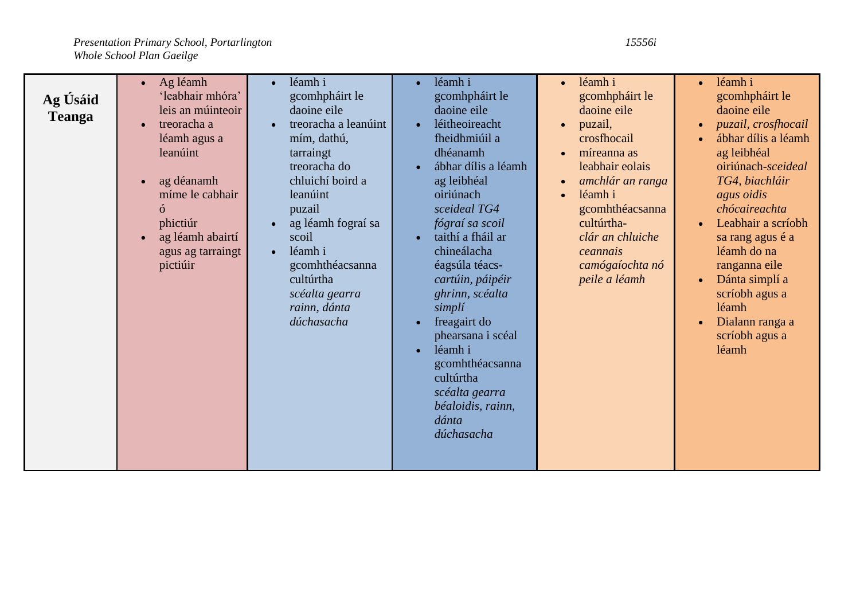**Ag Úsáid Teanga** Ag léamh 'leabhair mhóra' leis an múinteoir • treoracha a léamh agus a leanúint ag déanamh míme le cabhair ó phictiúr ag léamh abairtí agus ag tarraingt pictiúir léamh i gcomhpháirt le daoine eile treoracha a leanúint mím, dathú, tarraingt treoracha do chluichí boird a leanúint puzail ag léamh fograí sa scoil léamh i gcomhthéacsanna cultúrtha *scéalta gearra rainn, dánta dúchasacha* léamh i gcomhpháirt le daoine eile • léitheoireacht fheidhmiúil a dhéanamh ábhar dílis a léamh ag leibhéal oiriúnach *sceideal TG4 fógraí sa scoil* taithí a fháil ar chineálacha éagsúla téacs*cartúin, páipéir ghrinn, scéalta simplí* • freagairt do phearsana i scéal léamh i gcomhthéacsanna cultúrtha *scéalta gearra béaloidis, rainn, dánta dúchasacha* léamh i gcomhpháirt le daoine eile • puzail. crosfhocail míreanna as leabhair eolais *amchlár an ranga* léamh i gcomhthéacsanna cultúrtha*clár an chluiche ceannais camógaíochta nó peile a léamh* léamh i gcomhpháirt le daoine eile *puzail, crosfhocail* ábhar dílis a léamh ag leibhéal oiriúnach-*sceideal TG4, biachláir agus oidis chócaireachta* Leabhair a scríobh sa rang agus é a léamh do na ranganna eile Dánta simplí a scríobh agus a léamh Dialann ranga a scríobh agus a léamh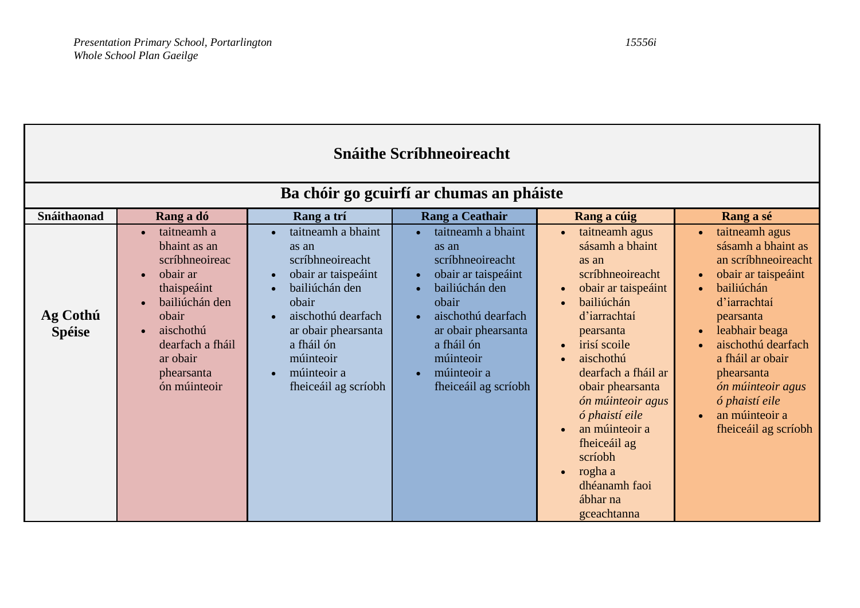| <b>Snáithe Scríbhneoireacht</b> |                                                                                                                                                                                                          |                                                                                                                                                                                                                                                         |                                                                                                                                                                                                                  |                                                                                                                                                                                                                                                                                                                                                                                                                                   |                                                                                                                                                                                                                                                                                                                                              |
|---------------------------------|----------------------------------------------------------------------------------------------------------------------------------------------------------------------------------------------------------|---------------------------------------------------------------------------------------------------------------------------------------------------------------------------------------------------------------------------------------------------------|------------------------------------------------------------------------------------------------------------------------------------------------------------------------------------------------------------------|-----------------------------------------------------------------------------------------------------------------------------------------------------------------------------------------------------------------------------------------------------------------------------------------------------------------------------------------------------------------------------------------------------------------------------------|----------------------------------------------------------------------------------------------------------------------------------------------------------------------------------------------------------------------------------------------------------------------------------------------------------------------------------------------|
|                                 |                                                                                                                                                                                                          |                                                                                                                                                                                                                                                         | Ba chóir go gcuirfí ar chumas an pháiste                                                                                                                                                                         |                                                                                                                                                                                                                                                                                                                                                                                                                                   |                                                                                                                                                                                                                                                                                                                                              |
| Snáithaonad                     | Rang a dó                                                                                                                                                                                                | Rang a trí                                                                                                                                                                                                                                              | Rang a Ceathair                                                                                                                                                                                                  | Rang a cúig                                                                                                                                                                                                                                                                                                                                                                                                                       | Rang a sé                                                                                                                                                                                                                                                                                                                                    |
| Ag Cothú<br><b>Spéise</b>       | taitneamh a<br>$\bullet$<br>bhaint as an<br>scríbhneoireac<br>obair ar<br>thaispeáint<br>bailiúchán den<br>obair<br>aischothú<br>$\bullet$<br>dearfach a fháil<br>ar obair<br>phearsanta<br>ón múinteoir | taitneamh a bhaint<br>as an<br>scríbhneoireacht<br>obair ar taispeáint<br>$\bullet$<br>bailiúchán den<br>$\bullet$<br>obair<br>aischothú dearfach<br>ar obair phearsanta<br>a fháil ón<br>múinteoir<br>múinteoir a<br>$\bullet$<br>fheiceáil ag scríobh | taitneamh a bhaint<br>as an<br>scríbhneoireacht<br>obair ar taispeáint<br>bailiúchán den<br>obair<br>aischothú dearfach<br>ar obair phearsanta<br>a fháil ón<br>múinteoir<br>múinteoir a<br>fheiceáil ag scríobh | taitneamh agus<br>$\bullet$<br>sásamh a bhaint<br>as an<br>scríbhneoireacht<br>obair ar taispeáint<br>$\bullet$<br>bailiúchán<br>$\bullet$<br>d'iarrachtaí<br>pearsanta<br>irisí scoile<br>$\bullet$<br>aischothú<br>dearfach a fháil ar<br>obair phearsanta<br>ón múinteoir agus<br>ó phaistí eile<br>an múinteoir a<br>$\bullet$<br>fheiceáil ag<br>scríobh<br>rogha a<br>$\bullet$<br>dhéanamh faoi<br>ábhar na<br>gceachtanna | taitneamh agus<br>$\bullet$<br>sásamh a bhaint as<br>an scríbhneoireacht<br>obair ar taispeáint<br>bailiúchán<br>$\bullet$<br>d'iarrachtaí<br>pearsanta<br>leabhair beaga<br>$\bullet$<br>aischothú dearfach<br>a fháil ar obair<br>phearsanta<br>ón múinteoir agus<br>ó phaistí eile<br>an múinteoir a<br>$\bullet$<br>fheiceáil ag scríobh |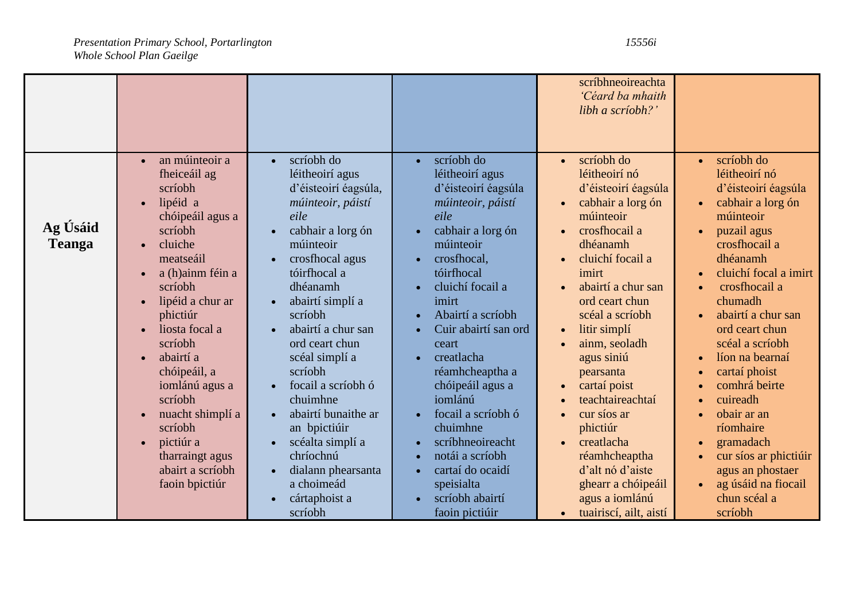|                           |                                                                                                                                                                                                                                                                                                                                                                                      |                                                                                                                                                                                                                                                                                                                                                                                                                                                                                                                                              |                                                                                                                                                                                                                                                                                                                                                                                                                                                                  | scríbhneoireachta<br>'Céard ba mhaith<br>libh a scríobh?'                                                                                                                                                                                                                                                                                                                                                                                                                                                     |                                                                                                                                                                                                                                                                                                                                                                                                                                                           |
|---------------------------|--------------------------------------------------------------------------------------------------------------------------------------------------------------------------------------------------------------------------------------------------------------------------------------------------------------------------------------------------------------------------------------|----------------------------------------------------------------------------------------------------------------------------------------------------------------------------------------------------------------------------------------------------------------------------------------------------------------------------------------------------------------------------------------------------------------------------------------------------------------------------------------------------------------------------------------------|------------------------------------------------------------------------------------------------------------------------------------------------------------------------------------------------------------------------------------------------------------------------------------------------------------------------------------------------------------------------------------------------------------------------------------------------------------------|---------------------------------------------------------------------------------------------------------------------------------------------------------------------------------------------------------------------------------------------------------------------------------------------------------------------------------------------------------------------------------------------------------------------------------------------------------------------------------------------------------------|-----------------------------------------------------------------------------------------------------------------------------------------------------------------------------------------------------------------------------------------------------------------------------------------------------------------------------------------------------------------------------------------------------------------------------------------------------------|
| Ag Úsáid<br><b>Teanga</b> | an múinteoir a<br>fheiceáil ag<br>scríobh<br>lipéid a<br>chóipeáil agus a<br>scríobh<br>cluiche<br>meatseáil<br>a (h)ainm féin a<br>scríobh<br>lipéid a chur ar<br>phictiúr<br>liosta focal a<br>scríobh<br>abairtí a<br>chóipeáil, a<br>iomlánú agus a<br>scríobh<br>nuacht shimplí a<br>scríobh<br>pictiúr a<br>$\bullet$<br>tharraingt agus<br>abairt a scríobh<br>faoin bpictiúr | scríobh do<br>$\bullet$<br>léitheoirí agus<br>d'éisteoirí éagsúla,<br>múinteoir, páistí<br>eile<br>cabhair a lorg ón<br>múinteoir<br>crosfhocal agus<br>$\bullet$<br>tóirfhocal a<br>dhéanamh<br>abairtí simplí a<br>scríobh<br>abairtí a chur san<br>$\bullet$<br>ord ceart chun<br>scéal simplí a<br>scríobh<br>focail a scríobh ó<br>$\bullet$<br>chuimhne<br>abairtí bunaithe ar<br>$\bullet$<br>an bpictiúir<br>scéalta simplí a<br>chríochnú<br>dialann phearsanta<br>$\bullet$<br>a choimeád<br>cártaphoist a<br>$\bullet$<br>scríobh | scríobh do<br>$\bullet$<br>léitheoirí agus<br>d'éisteoirí éagsúla<br>múinteoir, páistí<br>eile<br>cabhair a lorg ón<br>múinteoir<br>crosfhocal,<br>tóirfhocal<br>cluichí focail a<br>imirt<br>Abairtí a scríobh<br>Cuir abairtí san ord<br>ceart<br>creatlacha<br>réamhcheaptha a<br>chóipeáil agus a<br>iomlánú<br>focail a scríobh ó<br>chuimhne<br>scríbhneoireacht<br>notái a scríobh<br>cartaí do ocaidí<br>speisialta<br>scríobh abairtí<br>faoin pictiúir | scríobh do<br>$\bullet$<br>léitheoirí nó<br>d'éisteoirí éagsúla<br>cabhair a lorg ón<br>múinteoir<br>crosfhocail a<br>dhéanamh<br>cluichí focail a<br>imirt<br>abairtí a chur san<br>ord ceart chun<br>scéal a scríobh<br>litir simplí<br>$\bullet$<br>ainm, seoladh<br>agus siniú<br>pearsanta<br>cartaí poist<br>$\bullet$<br>teachtaireachtaí<br>cur síos ar<br>phictiúr<br>creatlacha<br>réamhcheaptha<br>d'alt nó d'aiste<br>ghearr a chóipeáil<br>agus a iomlánú<br>tuairiscí, ailt, aistí<br>$\bullet$ | scríobh do<br>léitheoirí nó<br>d'éisteoirí éagsúla<br>cabhair a lorg ón<br>múinteoir<br>puzail agus<br>crosfhocail a<br>dhéanamh<br>cluichí focal a imirt<br>crosfhocail a<br>chumadh<br>abairtí a chur san<br>ord ceart chun<br>scéal a scríobh<br>líon na bearnaí<br>cartaí phoist<br>comhrá beirte<br>cuireadh<br>obair ar an<br>ríomhaire<br>gramadach<br>cur síos ar phictiúir<br>agus an phostaer<br>ag úsáid na fiocail<br>chun scéal a<br>scríobh |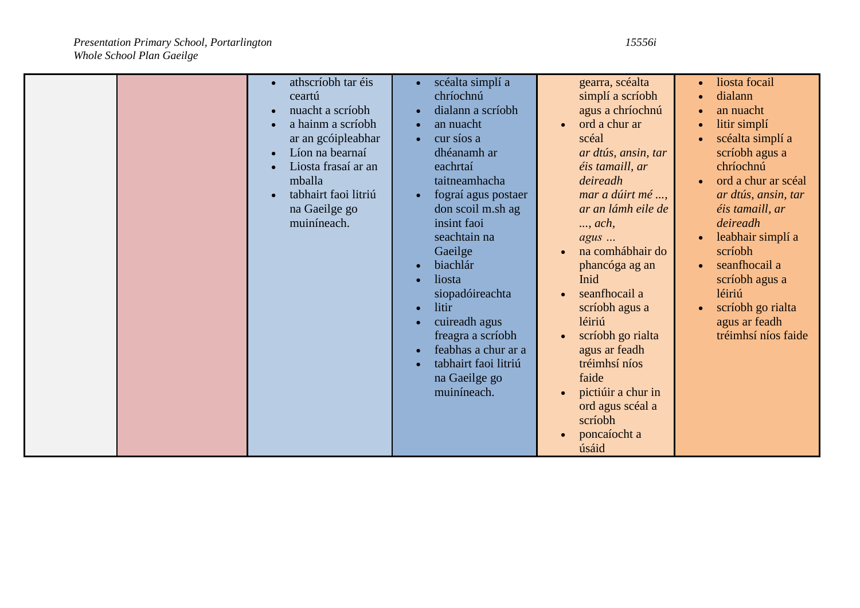| athscríobh tar éis<br>$\bullet$<br>ceartú<br>nuacht a scríobh<br>a hainm a scríobh<br>ar an gcóipleabhar<br>Líon na bearnaí<br>$\bullet$<br>Liosta frasaí ar an<br>mballa | scéalta simplí a<br>$\bullet$<br>chríochnú<br>dialann a scríobh<br>$\bullet$<br>an nuacht<br>cur síos a<br>$\bullet$<br>dhéanamh ar<br>eachrtaí<br>taitneamhacha                                                                                | gearra, scéalta<br>simplí a scríobh<br>agus a chríochnú<br>ord a chur ar<br>scéal<br>ar dtús, ansin, tar<br>éis tamaill, ar<br>deireadh                                                                                               | liosta focail<br>$\bullet$<br>dialann<br>$\bullet$<br>an nuacht<br>$\bullet$<br>litir simplí<br>scéalta simplí a<br>scríobh agus a<br>chríochnú<br>ord a chur ar scéal |
|---------------------------------------------------------------------------------------------------------------------------------------------------------------------------|-------------------------------------------------------------------------------------------------------------------------------------------------------------------------------------------------------------------------------------------------|---------------------------------------------------------------------------------------------------------------------------------------------------------------------------------------------------------------------------------------|------------------------------------------------------------------------------------------------------------------------------------------------------------------------|
|                                                                                                                                                                           | Gaeilge<br>biachlár<br>$\bullet$<br>liosta<br>$\bullet$<br>siopadóireachta<br>litir<br>$\bullet$<br>cuireadh agus<br>freagra a scríobh<br>feabhas a chur ar a<br>$\bullet$<br>tabhairt faoi litriú<br>$\bullet$<br>na Gaeilge go<br>muiníneach. | na comhábhair do<br>phancóga ag an<br>Inid<br>seanfhocail a<br>scríobh agus a<br>léiriú<br>scríobh go rialta<br>agus ar feadh<br>tréimhsí níos<br>faide<br>pictiúir a chur in<br>ord agus scéal a<br>scríobh<br>poncaíocht a<br>úsáid | scríobh<br>seanfhocail a<br>scríobh agus a<br>léiriú<br>scríobh go rialta<br>agus ar feadh<br>tréimhsí níos faide                                                      |